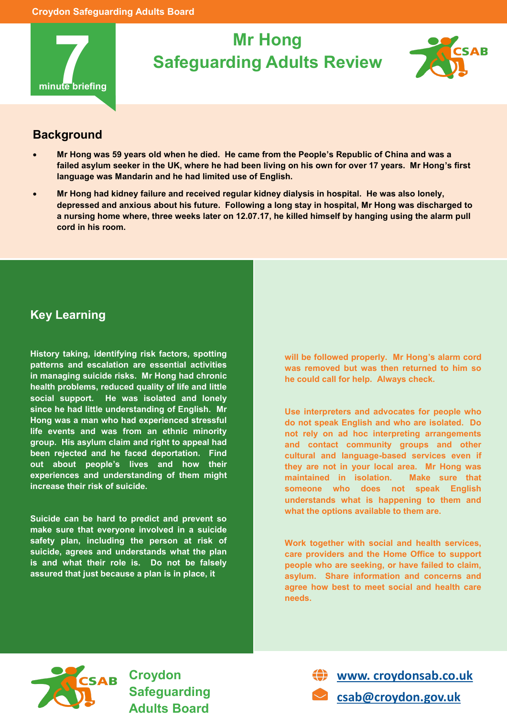

## **Mr Hong Safeguarding Adults Review**



## **Background**

- **Mr Hong was 59 years old when he died. He came from the People's Republic of China and was a failed asylum seeker in the UK, where he had been living on his own for over 17 years. Mr Hong's first language was Mandarin and he had limited use of English.**
- **Mr Hong had kidney failure and received regular kidney dialysis in hospital. He was also lonely, depressed and anxious about his future. Following a long stay in hospital, Mr Hong was discharged to a nursing home where, three weeks later on 12.07.17, he killed himself by hanging using the alarm pull cord in his room.**

## **Key Learning**

**History taking, identifying risk factors, spotting patterns and escalation are essential activities in managing suicide risks. Mr Hong had chronic health problems, reduced quality of life and little social support. He was isolated and lonely since he had little understanding of English. Mr Hong was a man who had experienced stressful life events and was from an ethnic minority group. His asylum claim and right to appeal had been rejected and he faced deportation. Find out about people's lives and how their experiences and understanding of them might increase their risk of suicide.**

**Suicide can be hard to predict and prevent so make sure that everyone involved in a suicide safety plan, including the person at risk of suicide, agrees and understands what the plan is and what their role is. Do not be falsely assured that just because a plan is in place, it** 

**will be followed properly. Mr Hong's alarm cord was removed but was then returned to him so he could call for help. Always check.**

**Use interpreters and advocates for people who do not speak English and who are isolated. Do not rely on ad hoc interpreting arrangements and contact community groups and other cultural and language-based services even if they are not in your local area. Mr Hong was maintained in isolation. Make sure that someone who does not speak English understands what is happening to them and what the options available to them are.**

**Work together with social and health services, care providers and the Home Office to support people who are seeking, or have failed to claim, asylum. Share information and concerns and agree how best to meet social and health care needs.**



**Croydon Safeguarding Adults Board** 



**[csab@croydon.gov.uk](mailto:csab@croydon.gov.uk)**